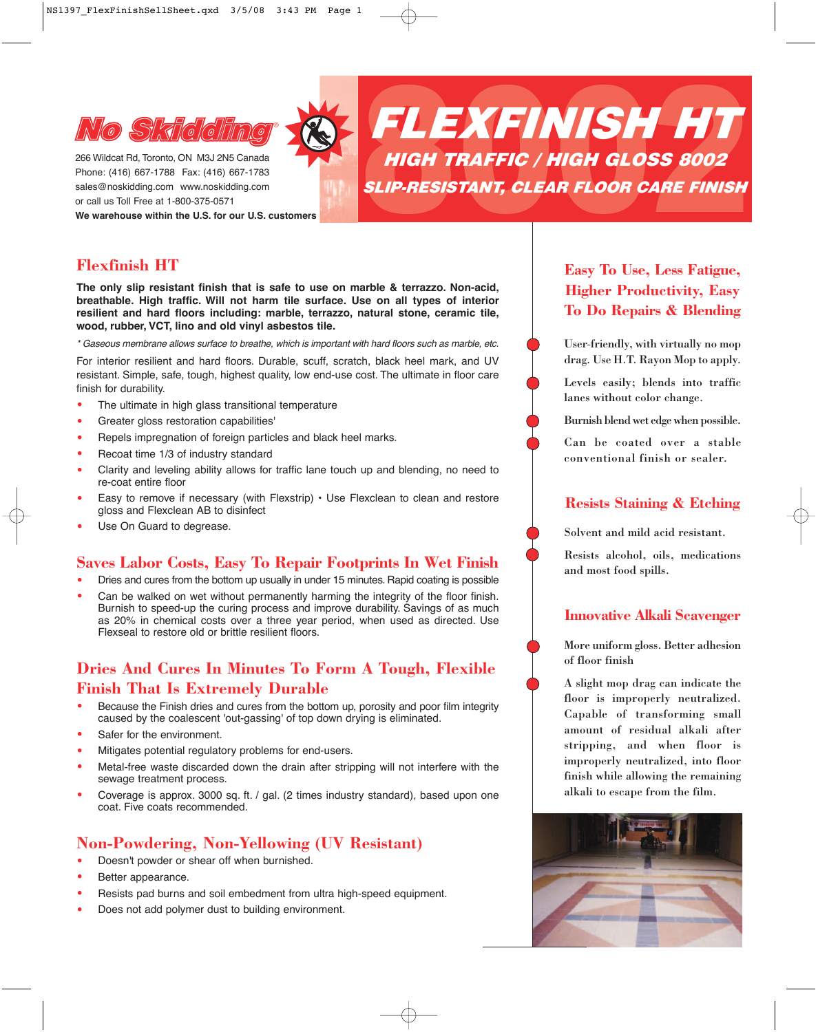

266 Wildcat Rd, Toronto, ON M3J 2N5 Canada Phone: (416) 667-1788 Fax: (416) 667-1783 sales@noskidding.com www.noskidding.com **We warehouse within the U.S. for our U.S. customers**



# **Flexfinish HT**

**The only slip resistant finish that is safe to use on marble & terrazzo. Non-acid, breathable. High traffic. Will not harm tile surface. Use on all types of interior resilient and hard floors including: marble, terrazzo, natural stone, ceramic tile, wood, rubber, VCT, lino and old vinyl asbestos tile.**

*\* Gaseous membrane allows surface to breathe, which is important with hard floors such as marble, etc.*

For interior resilient and hard floors. Durable, scuff, scratch, black heel mark, and UV resistant. Simple, safe, tough, highest quality, low end-use cost. The ultimate in floor care finish for durability.

- The ultimate in high glass transitional temperature
- Greater gloss restoration capabilities'<br>• Benels impregnation of foreign particle
- Repels impregnation of foreign particles and black heel marks.
- Recoat time 1/3 of industry standard
- Clarity and leveling ability allows for traffic lane touch up and blending, no need to re-coat entire floor
- Easy to remove if necessary (with Flexstrip)  $\cdot$  Use Flexclean to clean and restore gloss and Flexclean AB to disinfect
- Use On Guard to degrease.

#### **Saves Labor Costs, Easy To Repair Footprints In Wet Finish**

- Dries and cures from the bottom up usually in under 15 minutes. Rapid coating is possible
- Can be walked on wet without permanently harming the integrity of the floor finish. Burnish to speed-up the curing process and improve durability. Savings of as much as 20% in chemical costs over a three year period, when used as directed. Use Flexseal to restore old or brittle resilient floors.

### **Dries And Cures In Minutes To Form A Tough, Flexible Finish That Is Extremely Durable**

- Because the Finish dries and cures from the bottom up, porosity and poor film integrity caused by the coalescent 'out-gassing' of top down drying is eliminated.
- Safer for the environment.
- Mitigates potential regulatory problems for end-users.
- Metal-free waste discarded down the drain after stripping will not interfere with the sewage treatment process.
- Coverage is approx. 3000 sq. ft. / gal. (2 times industry standard), based upon one coat. Five coats recommended.

### **Non-Powdering, Non-Yellowing (UV Resistant)**

- Doesn't powder or shear off when burnished.
- Better appearance.
- Resists pad burns and soil embedment from ultra high-speed equipment.
- Does not add polymer dust to building environment.

# **Easy To Use, Less Fatigue, Higher Productivity, Easy To Do Repairs & Blending**

User-friendly, with virtually no mop drag. Use H.T. Rayon Mop to apply.

Levels easily; blends into traffic lanes without color change.

Burnish blend wet edge when possible.

Can be coated over a stable conventional finish or sealer.

#### **Resists Staining & Etching**

Solvent and mild acid resistant.

Resists alcohol, oils, medications and most food spills.

### **Innovative Alkali Scavenger**

More uniform gloss. Better adhesion of floor finish

A slight mop drag can indicate the floor is improperly neutralized. Capable of transforming small amount of residual alkali after stripping, and when floor is improperly neutralized, into floor finish while allowing the remaining alkali to escape from the film.